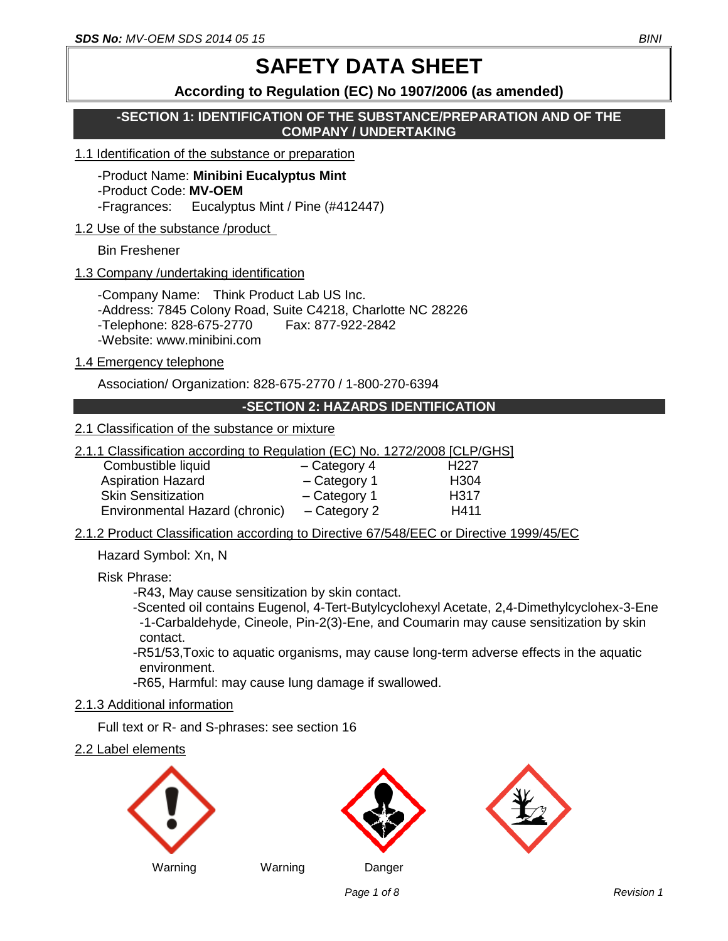# **SAFETY DATA SHEET**

# **According to Regulation (EC) No 1907/2006 (as amended)**

**-SECTION 1: IDENTIFICATION OF THE SUBSTANCE/PREPARATION AND OF THE COMPANY / UNDERTAKING**

#### 1.1 Identification of the substance or preparation

-Product Name: **Minibini Eucalyptus Mint** -Product Code: **MV-OEM** -Fragrances: Eucalyptus Mint / Pine (#412447)

## 1.2 Use of the substance /product

Bin Freshener

## 1.3 Company /undertaking identification

-Company Name: Think Product Lab US Inc. -Address: 7845 Colony Road, Suite C4218, Charlotte NC 28226 -Telephone: 828-675-2770 Fax: 877-922-2842 -Website: www.minibini.com

#### 1.4 Emergency telephone

Association/ Organization: 828-675-2770 / 1-800-270-6394

## **-SECTION 2: HAZARDS IDENTIFICATION**

## 2.1 Classification of the substance or mixture

2.1.1 Classification according to Regulation (EC) No. 1272/2008 [CLP/GHS]

| Combustible liquid             | $-$ Category 4 | H <sub>22</sub> 7 |
|--------------------------------|----------------|-------------------|
| <b>Aspiration Hazard</b>       | $-$ Category 1 | H304              |
| <b>Skin Sensitization</b>      | - Category 1   | H317              |
| Environmental Hazard (chronic) | - Category 2   | H411              |

2.1.2 Product Classification according to Directive 67/548/EEC or Directive 1999/45/EC

Hazard Symbol: Xn, N

Risk Phrase:

-R43, May cause sensitization by skin contact.

-Scented oil contains Eugenol, 4-Tert-Butylcyclohexyl Acetate, 2,4-Dimethylcyclohex-3-Ene -1-Carbaldehyde, Cineole, Pin-2(3)-Ene, and Coumarin may cause sensitization by skin contact.

-R51/53,Toxic to aquatic organisms, may cause long-term adverse effects in the aquatic environment.

-R65, Harmful: may cause lung damage if swallowed.

# 2.1.3 Additional information

Full text or R- and S-phrases: see section 16

2.2 Label elements







Warning Warning Danger

*Page 1* **of 8** Revision 1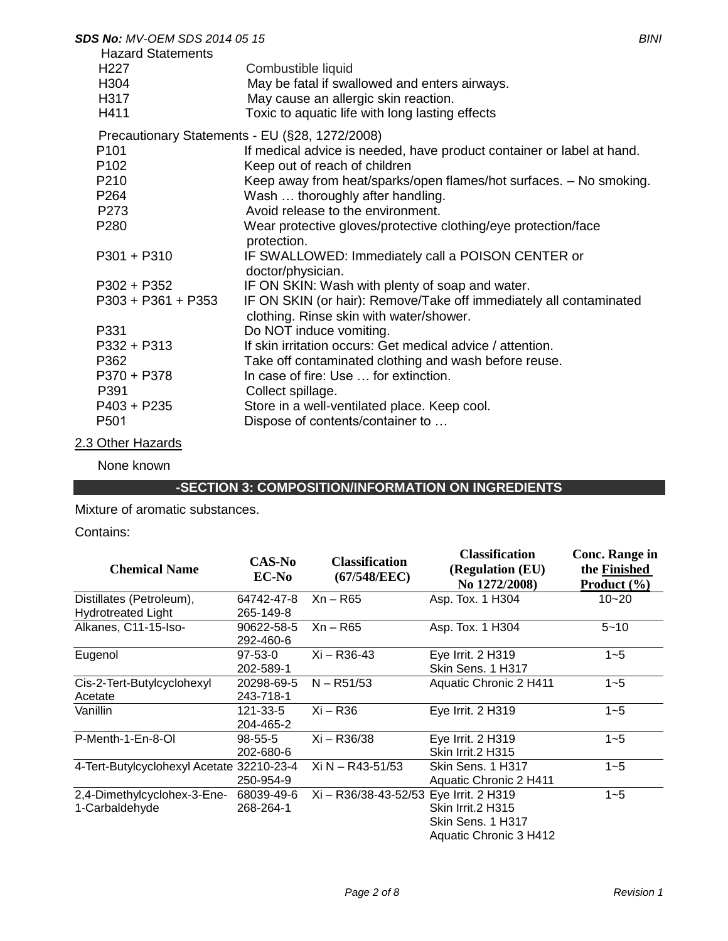| <b>SDS No: MV-OEM SDS 2014 05 15</b>                                              |                                                                                                                                                                | <b>BINI</b> |
|-----------------------------------------------------------------------------------|----------------------------------------------------------------------------------------------------------------------------------------------------------------|-------------|
| <b>Hazard Statements</b><br>H <sub>22</sub> 7<br>H <sub>304</sub><br>H317<br>H411 | Combustible liquid<br>May be fatal if swallowed and enters airways.<br>May cause an allergic skin reaction.<br>Toxic to aquatic life with long lasting effects |             |
|                                                                                   | Precautionary Statements - EU (§28, 1272/2008)                                                                                                                 |             |
| P <sub>101</sub><br>P <sub>102</sub>                                              | If medical advice is needed, have product container or label at hand.<br>Keep out of reach of children                                                         |             |
| P <sub>210</sub><br>P264                                                          | Keep away from heat/sparks/open flames/hot surfaces. - No smoking.<br>Wash  thoroughly after handling.                                                         |             |
| P <sub>273</sub>                                                                  | Avoid release to the environment.                                                                                                                              |             |
| P280                                                                              | Wear protective gloves/protective clothing/eye protection/face<br>protection.                                                                                  |             |
| $P301 + P310$                                                                     | IF SWALLOWED: Immediately call a POISON CENTER or<br>doctor/physician.                                                                                         |             |
| $P302 + P352$                                                                     | IF ON SKIN: Wash with plenty of soap and water.                                                                                                                |             |
| $P303 + P361 + P353$                                                              | IF ON SKIN (or hair): Remove/Take off immediately all contaminated<br>clothing. Rinse skin with water/shower.                                                  |             |
| P331                                                                              | Do NOT induce vomiting.                                                                                                                                        |             |
| P332 + P313                                                                       | If skin irritation occurs: Get medical advice / attention.                                                                                                     |             |
| P362                                                                              | Take off contaminated clothing and wash before reuse.                                                                                                          |             |
| $P370 + P378$                                                                     | In case of fire: Use  for extinction.                                                                                                                          |             |
| P391                                                                              | Collect spillage.                                                                                                                                              |             |
| $P403 + P235$                                                                     | Store in a well-ventilated place. Keep cool.                                                                                                                   |             |
| P <sub>501</sub>                                                                  | Dispose of contents/container to                                                                                                                               |             |

2.3 Other Hazards

None known

# **-SECTION 3: COMPOSITION/INFORMATION ON INGREDIENTS**

Mixture of aromatic substances.

Contains:

| <b>Chemical Name</b>                      | CAS-No<br><b>EC-No</b>  | <b>Classification</b><br>(67/548/EEC)  | <b>Classification</b><br>(Regulation (EU)<br>No 1272/2008) | Conc. Range in<br>the Finished<br>Product $(\% )$ |
|-------------------------------------------|-------------------------|----------------------------------------|------------------------------------------------------------|---------------------------------------------------|
| Distillates (Petroleum),                  | 64742-47-8              | $Xn - R65$                             | Asp. Tox. 1 H304                                           | $10 - 20$                                         |
| <b>Hydrotreated Light</b>                 | 265-149-8               |                                        |                                                            |                                                   |
| Alkanes, C11-15-Iso-                      | 90622-58-5<br>292-460-6 | Xn – R65                               | Asp. Tox. 1 H304                                           | $5 - 10$                                          |
| Eugenol                                   | $97 - 53 - 0$           | Xi – R36-43                            | Eye Irrit. 2 H319                                          | $1 - 5$                                           |
|                                           | 202-589-1               |                                        | Skin Sens. 1 H317                                          |                                                   |
| Cis-2-Tert-Butylcyclohexyl                | 20298-69-5              | $N - R51/53$                           | Aquatic Chronic 2 H411                                     | $1 - 5$                                           |
| Acetate                                   | 243-718-1               |                                        |                                                            |                                                   |
| Vanillin                                  | 121-33-5                | $Xi-R36$                               | Eye Irrit. 2 H319                                          | $1 - 5$                                           |
|                                           | 204-465-2               |                                        |                                                            |                                                   |
| P-Menth-1-En-8-OI                         | $98 - 55 - 5$           | Xi - R36/38                            | Eye Irrit. 2 H319                                          | $1 - 5$                                           |
|                                           | 202-680-6               |                                        | Skin Irrit.2 H315                                          |                                                   |
| 4-Tert-Butylcyclohexyl Acetate 32210-23-4 |                         | Xi N - R43-51/53                       | Skin Sens. 1 H317                                          | $1 - 5$                                           |
|                                           | 250-954-9               |                                        | Aquatic Chronic 2 H411                                     |                                                   |
| 2,4-Dimethylcyclohex-3-Ene-               | 68039-49-6              | Xi - R36/38-43-52/53 Eye Irrit. 2 H319 |                                                            | $1 - 5$                                           |
| 1-Carbaldehyde                            | 268-264-1               |                                        | Skin Irrit.2 H315                                          |                                                   |
|                                           |                         |                                        | Skin Sens. 1 H317                                          |                                                   |
|                                           |                         |                                        | Aquatic Chronic 3 H412                                     |                                                   |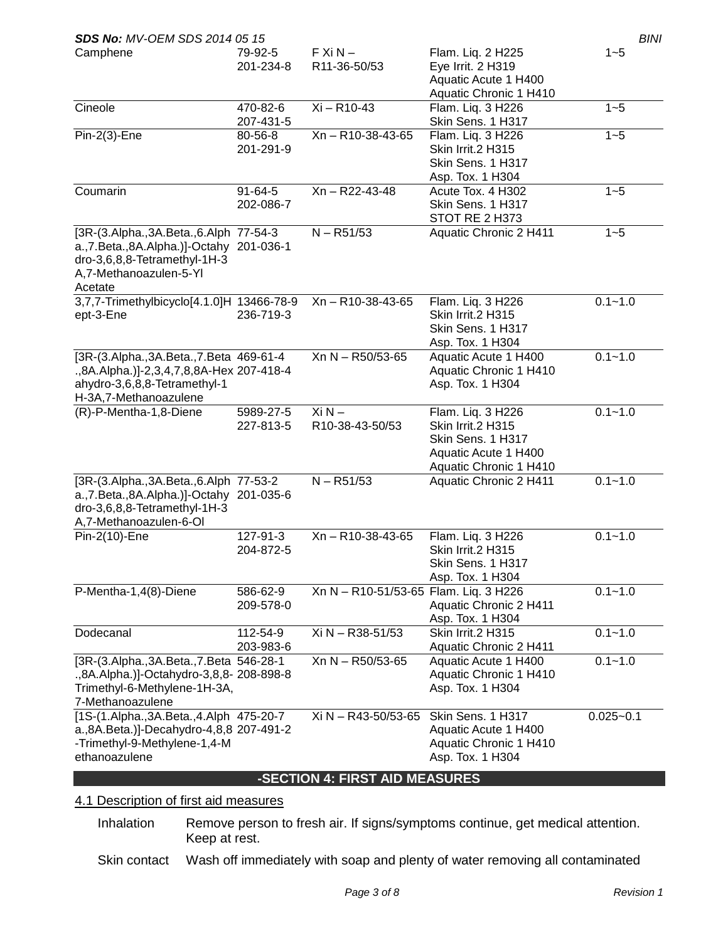| <b>SDS No: MV-OEM SDS 2014 05 15</b>                                                                                                                        |                            |                                       |                                                                                                               | BINI          |
|-------------------------------------------------------------------------------------------------------------------------------------------------------------|----------------------------|---------------------------------------|---------------------------------------------------------------------------------------------------------------|---------------|
| Camphene                                                                                                                                                    | 79-92-5<br>201-234-8       | $FXiN -$<br>R11-36-50/53              | Flam. Liq. 2 H225<br>Eye Irrit. 2 H319<br>Aquatic Acute 1 H400                                                | $1 - 5$       |
|                                                                                                                                                             |                            |                                       | Aquatic Chronic 1 H410                                                                                        |               |
| Cineole                                                                                                                                                     | 470-82-6<br>207-431-5      | Xi - R10-43                           | Flam. Liq. 3 H226<br>Skin Sens. 1 H317                                                                        | $1 - 5$       |
| $Pin-2(3)$ -Ene                                                                                                                                             | 80-56-8<br>201-291-9       | Xn - R10-38-43-65                     | Flam. Liq. 3 H226<br>Skin Irrit.2 H315<br>Skin Sens. 1 H317<br>Asp. Tox. 1 H304                               | $1 - 5$       |
| Coumarin                                                                                                                                                    | $91 - 64 - 5$<br>202-086-7 | Xn - R22-43-48                        | Acute Tox. 4 H302<br>Skin Sens. 1 H317<br>STOT RE 2 H373                                                      | $1 - 5$       |
| [3R-(3.Alpha., 3A.Beta., 6.Alph 77-54-3<br>a., 7. Beta., 8A. Alpha.)]-Octahy 201-036-1<br>dro-3,6,8,8-Tetramethyl-1H-3<br>A,7-Methanoazulen-5-Yl<br>Acetate |                            | $N - R51/53$                          | Aquatic Chronic 2 H411                                                                                        | $1 - 5$       |
| 3,7,7-Trimethylbicyclo[4.1.0]H 13466-78-9<br>ept-3-Ene                                                                                                      | 236-719-3                  | Xn-R10-38-43-65                       | Flam. Liq. 3 H226<br>Skin Irrit.2 H315<br>Skin Sens. 1 H317<br>Asp. Tox. 1 H304                               | $0.1 - 1.0$   |
| [3R-(3.Alpha., 3A.Beta., 7.Beta 469-61-4<br>.,8A.Alpha.)]-2,3,4,7,8,8A-Hex 207-418-4<br>ahydro-3,6,8,8-Tetramethyl-1<br>H-3A,7-Methanoazulene               |                            | Xn N - R50/53-65                      | Aquatic Acute 1 H400<br>Aquatic Chronic 1 H410<br>Asp. Tox. 1 H304                                            | $0.1 - 1.0$   |
| (R)-P-Mentha-1,8-Diene                                                                                                                                      | 5989-27-5<br>227-813-5     | $Xi N -$<br>R10-38-43-50/53           | Flam. Liq. 3 H226<br>Skin Irrit.2 H315<br>Skin Sens. 1 H317<br>Aquatic Acute 1 H400<br>Aquatic Chronic 1 H410 | $0.1 - 1.0$   |
| [3R-(3.Alpha., 3A.Beta., 6.Alph 77-53-2<br>a., 7. Beta., 8A. Alpha.)]-Octahy 201-035-6<br>dro-3,6,8,8-Tetramethyl-1H-3<br>A,7-Methanoazulen-6-OI            |                            | $N - R51/53$                          | Aquatic Chronic 2 H411                                                                                        | $0.1 - 1.0$   |
| Pin-2(10)-Ene                                                                                                                                               | 127-91-3<br>204-872-5      | Xn - R10-38-43-65                     | Flam. Liq. 3 H226<br>Skin Irrit.2 H315<br>Skin Sens. 1 H317<br>Asp. Tox. 1 H304                               | $0.1 - 1.0$   |
| P-Mentha-1,4(8)-Diene                                                                                                                                       | 586-62-9<br>209-578-0      | Xn N - R10-51/53-65 Flam. Liq. 3 H226 | Aquatic Chronic 2 H411<br>Asp. Tox. 1 H304                                                                    | $0.1 - 1.0$   |
| Dodecanal                                                                                                                                                   | 112-54-9<br>203-983-6      | Xi N - R38-51/53                      | Skin Irrit.2 H315<br>Aquatic Chronic 2 H411                                                                   | $0.1 - 1.0$   |
| [3R-(3.Alpha., 3A.Beta., 7.Beta 546-28-1<br>.,8A.Alpha.)]-Octahydro-3,8,8- 208-898-8<br>Trimethyl-6-Methylene-1H-3A,<br>7-Methanoazulene                    |                            | Xn N - R50/53-65                      | Aquatic Acute 1 H400<br>Aquatic Chronic 1 H410<br>Asp. Tox. 1 H304                                            | $0.1 - 1.0$   |
| [1S-(1.Alpha., 3A.Beta., 4.Alph 475-20-7<br>a., 8A. Beta.)]-Decahydro-4, 8, 8 207-491-2<br>-Trimethyl-9-Methylene-1,4-M<br>ethanoazulene                    |                            | Xi N - R43-50/53-65                   | Skin Sens. 1 H317<br>Aquatic Acute 1 H400<br>Aquatic Chronic 1 H410<br>Asp. Tox. 1 H304                       | $0.025 - 0.1$ |
|                                                                                                                                                             |                            | -SECTION 4: FIRST AID MEASURES        |                                                                                                               |               |

# 4.1 Description of first aid measures

Inhalation Remove person to fresh air. If signs/symptoms continue, get medical attention. Keep at rest.

Skin contact Wash off immediately with soap and plenty of water removing all contaminated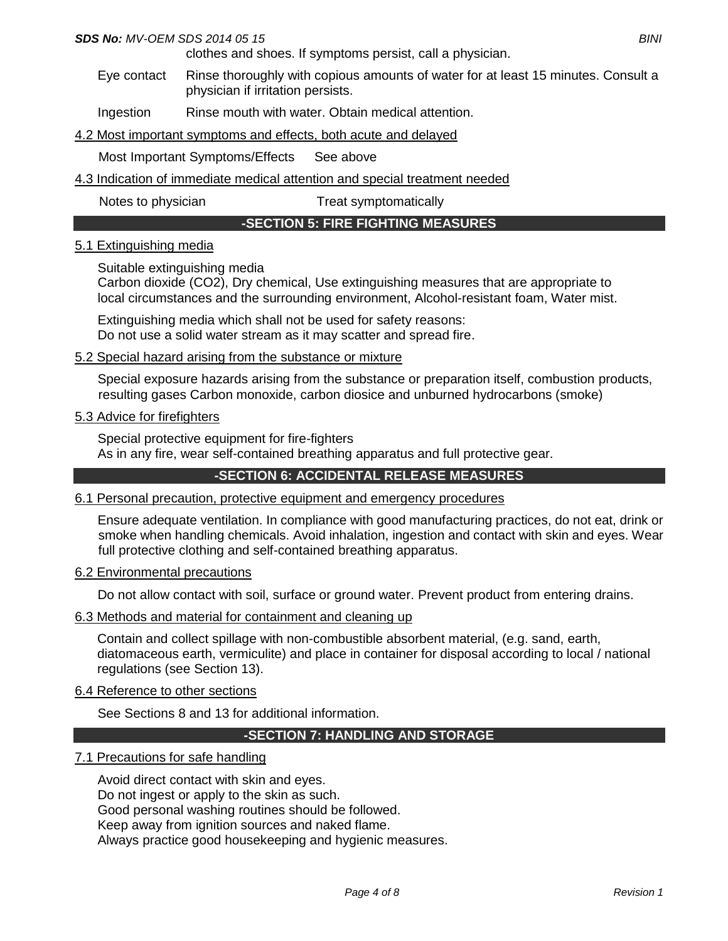#### *SDS No: MV-OEM SDS 2014 05 15 BINI*

clothes and shoes. If symptoms persist, call a physician.

Eye contact Rinse thoroughly with copious amounts of water for at least 15 minutes. Consult a physician if irritation persists.

Ingestion Rinse mouth with water. Obtain medical attention.

4.2 Most important symptoms and effects, both acute and delayed

Most Important Symptoms/Effects See above

4.3 Indication of immediate medical attention and special treatment needed

Notes to physician Treat symptomatically

## **-SECTION 5: FIRE FIGHTING MEASURES**

#### 5.1 Extinguishing media

Suitable extinguishing media

Carbon dioxide (CO2), Dry chemical, Use extinguishing measures that are appropriate to local circumstances and the surrounding environment, Alcohol-resistant foam, Water mist.

Extinguishing media which shall not be used for safety reasons: Do not use a solid water stream as it may scatter and spread fire.

#### 5.2 Special hazard arising from the substance or mixture

Special exposure hazards arising from the substance or preparation itself, combustion products, resulting gases Carbon monoxide, carbon diosice and unburned hydrocarbons (smoke)

#### 5.3 Advice for firefighters

Special protective equipment for fire-fighters As in any fire, wear self-contained breathing apparatus and full protective gear.

# **-SECTION 6: ACCIDENTAL RELEASE MEASURES**

#### 6.1 Personal precaution, protective equipment and emergency procedures

Ensure adequate ventilation. In compliance with good manufacturing practices, do not eat, drink or smoke when handling chemicals. Avoid inhalation, ingestion and contact with skin and eyes. Wear full protective clothing and self-contained breathing apparatus.

#### 6.2 Environmental precautions

Do not allow contact with soil, surface or ground water. Prevent product from entering drains.

#### 6.3 Methods and material for containment and cleaning up

Contain and collect spillage with non-combustible absorbent material, (e.g. sand, earth, diatomaceous earth, vermiculite) and place in container for disposal according to local / national regulations (see Section 13).

#### 6.4 Reference to other sections

See Sections 8 and 13 for additional information.

#### **-SECTION 7: HANDLING AND STORAGE**

#### 7.1 Precautions for safe handling

Avoid direct contact with skin and eyes. Do not ingest or apply to the skin as such. Good personal washing routines should be followed. Keep away from ignition sources and naked flame. Always practice good housekeeping and hygienic measures.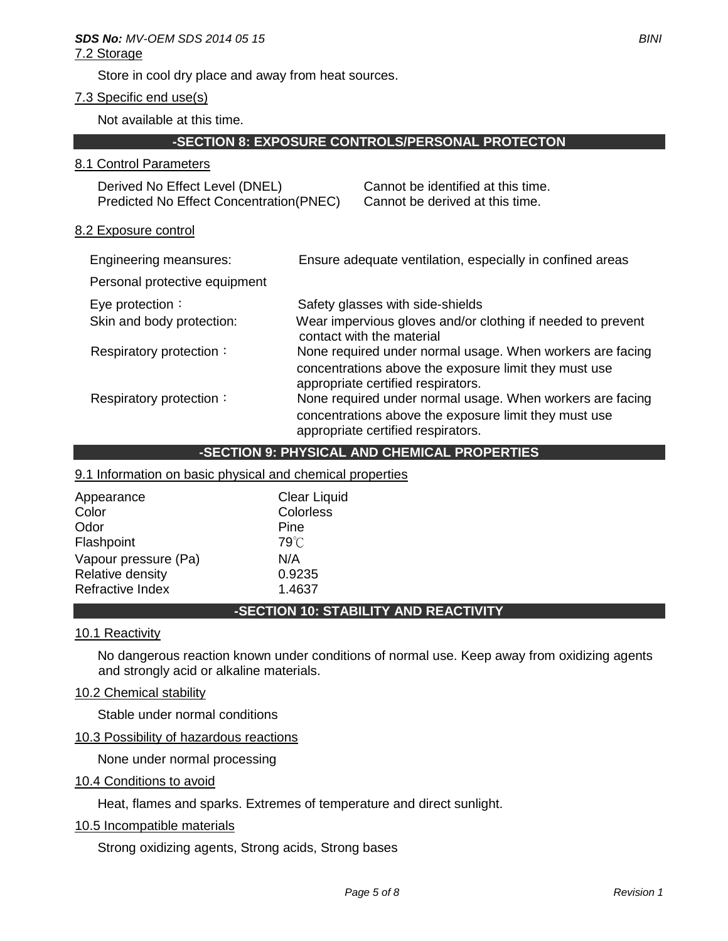Store in cool dry place and away from heat sources.

# 7.3 Specific end use(s)

Not available at this time.

## **-SECTION 8: EXPOSURE CONTROLS/PERSONAL PROTECTON**

#### 8.1 Control Parameters

| Derived No Effect Level (DNEL)                  | Cannot be identified at this time. |
|-------------------------------------------------|------------------------------------|
| <b>Predicted No Effect Concentration (PNEC)</b> | Cannot be derived at this time.    |

#### 8.2 Exposure control

| Engineering meansures:        | Ensure adequate ventilation, especially in confined areas                                                                                                |
|-------------------------------|----------------------------------------------------------------------------------------------------------------------------------------------------------|
| Personal protective equipment |                                                                                                                                                          |
| Eye protection:               | Safety glasses with side-shields                                                                                                                         |
| Skin and body protection:     | Wear impervious gloves and/or clothing if needed to prevent<br>contact with the material                                                                 |
| Respiratory protection:       | None required under normal usage. When workers are facing<br>concentrations above the exposure limit they must use<br>appropriate certified respirators. |
| Respiratory protection:       | None required under normal usage. When workers are facing<br>concentrations above the exposure limit they must use<br>appropriate certified respirators. |

#### **-SECTION 9: PHYSICAL AND CHEMICAL PROPERTIES**

## 9.1 Information on basic physical and chemical properties

| <b>Clear Liquid</b> |
|---------------------|
| Colorless           |
| Pine                |
| $79^{\circ}$ C      |
| N/A                 |
| 0.9235              |
| 1.4637              |
|                     |

# **-SECTION 10: STABILITY AND REACTIVITY**

#### 10.1 Reactivity

No dangerous reaction known under conditions of normal use. Keep away from oxidizing agents and strongly acid or alkaline materials.

#### 10.2 Chemical stability

Stable under normal conditions

#### 10.3 Possibility of hazardous reactions

None under normal processing

#### 10.4 Conditions to avoid

Heat, flames and sparks. Extremes of temperature and direct sunlight.

## 10.5 Incompatible materials

Strong oxidizing agents, Strong acids, Strong bases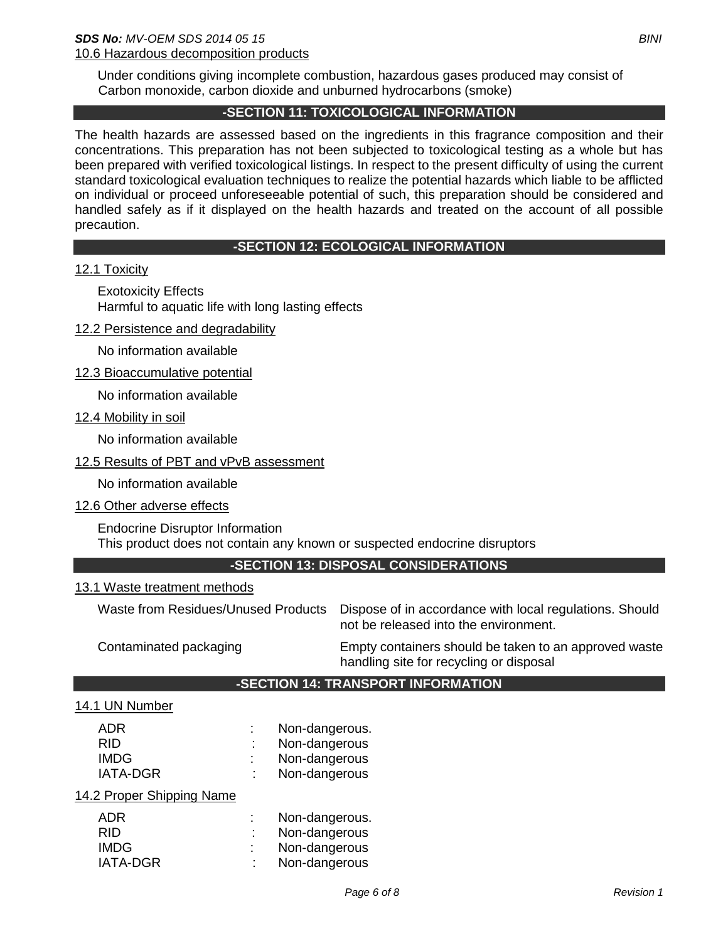Under conditions giving incomplete combustion, hazardous gases produced may consist of Carbon monoxide, carbon dioxide and unburned hydrocarbons (smoke)

# **-SECTION 11: TOXICOLOGICAL INFORMATION**

The health hazards are assessed based on the ingredients in this fragrance composition and their concentrations. This preparation has not been subjected to toxicological testing as a whole but has been prepared with verified toxicological listings. In respect to the present difficulty of using the current standard toxicological evaluation techniques to realize the potential hazards which liable to be afflicted on individual or proceed unforeseeable potential of such, this preparation should be considered and handled safely as if it displayed on the health hazards and treated on the account of all possible precaution.

# **-SECTION 12: ECOLOGICAL INFORMATION**

# 12.1 Toxicity

Exotoxicity Effects Harmful to aquatic life with long lasting effects

12.2 Persistence and degradability

No information available

12.3 Bioaccumulative potential

No information available

12.4 Mobility in soil

No information available

## 12.5 Results of PBT and vPvB assessment

No information available

12.6 Other adverse effects

Endocrine Disruptor Information This product does not contain any known or suspected endocrine disruptors

# **-SECTION 13: DISPOSAL CONSIDERATIONS**

#### 13.1 Waste treatment methods

Waste from Residues/Unused Products Dispose of in accordance with local regulations. Should not be released into the environment.

Contaminated packaging Empty containers should be taken to an approved waste handling site for recycling or disposal

#### **-SECTION 14: TRANSPORT INFORMATION**

#### 14.1 UN Number

| ADR<br>RID<br><b>IMDG</b><br><b>IATA-DGR</b> | t | Non-dangerous.<br>Non-dangerous<br>Non-dangerous<br>Non-dangerous |
|----------------------------------------------|---|-------------------------------------------------------------------|
| 14.2 Proper Shipping Name                    |   |                                                                   |
| ADR<br>RID                                   |   | Non-dangerous.                                                    |
|                                              | t | Non-dangerous                                                     |
| <b>IMDG</b>                                  |   | Non-dangerous                                                     |
| <b>IATA-DGR</b>                              | ٠ | Non-dangerous                                                     |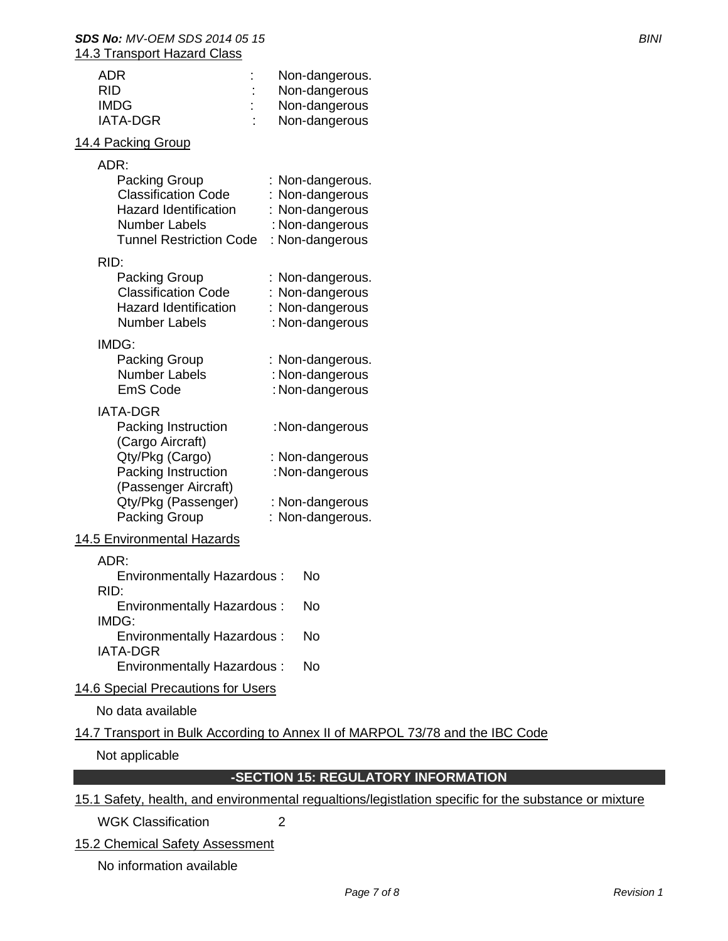#### *SDS No: MV-OEM SDS 2014 05 15 BINI* 14.3 Transport Hazard Class

| <b>ADR</b><br><b>RID</b><br><b>IMDG</b><br><b>IATA-DGR</b>                                                                                                           | Non-dangerous.<br>Non-dangerous<br>Non-dangerous<br>Non-dangerous                            |
|----------------------------------------------------------------------------------------------------------------------------------------------------------------------|----------------------------------------------------------------------------------------------|
| 14.4 Packing Group                                                                                                                                                   |                                                                                              |
| ADR:<br><b>Packing Group</b><br><b>Classification Code</b><br><b>Hazard Identification</b><br><b>Number Labels</b><br><b>Tunnel Restriction Code</b>                 | : Non-dangerous.<br>: Non-dangerous<br>: Non-dangerous<br>: Non-dangerous<br>: Non-dangerous |
| RID:<br><b>Packing Group</b><br><b>Classification Code</b><br><b>Hazard Identification</b><br><b>Number Labels</b>                                                   | : Non-dangerous.<br>: Non-dangerous<br>: Non-dangerous<br>: Non-dangerous                    |
| IMDG:<br>Packing Group<br><b>Number Labels</b><br><b>EmS Code</b>                                                                                                    | : Non-dangerous.<br>: Non-dangerous<br>: Non-dangerous                                       |
| <b>IATA-DGR</b><br>Packing Instruction<br>(Cargo Aircraft)<br>Qty/Pkg (Cargo)<br>Packing Instruction<br>(Passenger Aircraft)<br>Qty/Pkg (Passenger)<br>Packing Group | :Non-dangerous<br>: Non-dangerous<br>:Non-dangerous<br>: Non-dangerous<br>: Non-dangerous.   |
| 14.5 Environmental Hazards                                                                                                                                           |                                                                                              |
| ADR:<br><b>Environmentally Hazardous:</b><br>RID:<br><b>Environmentally Hazardous:</b><br>IMDG:<br><b>Environmentally Hazardous:</b><br><b>IATA-DGR</b>              | No<br>No<br>No                                                                               |
| <b>Environmentally Hazardous:</b>                                                                                                                                    | Nο                                                                                           |

14.6 Special Precautions for Users

No data available

# 14.7 Transport in Bulk According to Annex II of MARPOL 73/78 and the IBC Code

Not applicable

# **-SECTION 15: REGULATORY INFORMATION**

# 15.1 Safety, health, and environmental regualtions/legistlation specific for the substance or mixture

WGK Classification 2

15.2 Chemical Safety Assessment

No information available